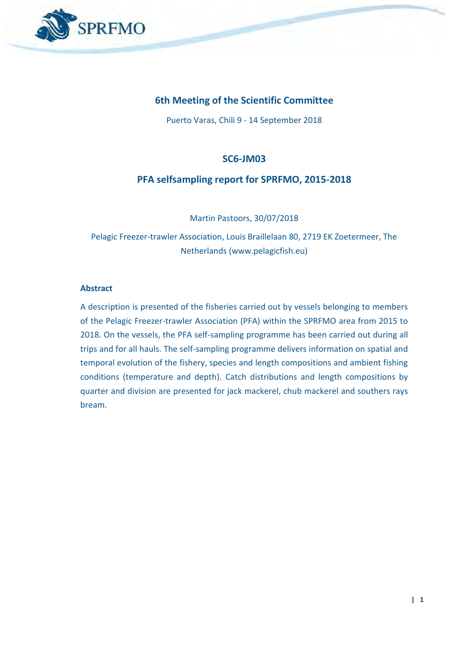

### **6th Meeting of the Scientific Committee**

Puerto Varas, Chili 9 - 14 September 2018

#### **SC6-JM03**

#### **PFA selfsampling report for SPRFMO, 2015-2018**

Martin Pastoors, 30/07/2018

Pelagic Freezer-trawler Association, Louis Braillelaan 80, 2719 EK Zoetermeer, The Netherlands (www.pelagicfish.eu)

#### **Abstract**

A description is presented of the fisheries carried out by vessels belonging to members of the Pelagic Freezer-trawler Association (PFA) within the SPRFMO area from 2015 to 2018. On the vessels, the PFA self-sampling programme has been carried out during all trips and for all hauls. The self-sampling programme delivers information on spatial and temporal evolution of the fishery, species and length compositions and ambient fishing conditions (temperature and depth). Catch distributions and length compositions by quarter and division are presented for jack mackerel, chub mackerel and southers rays bream.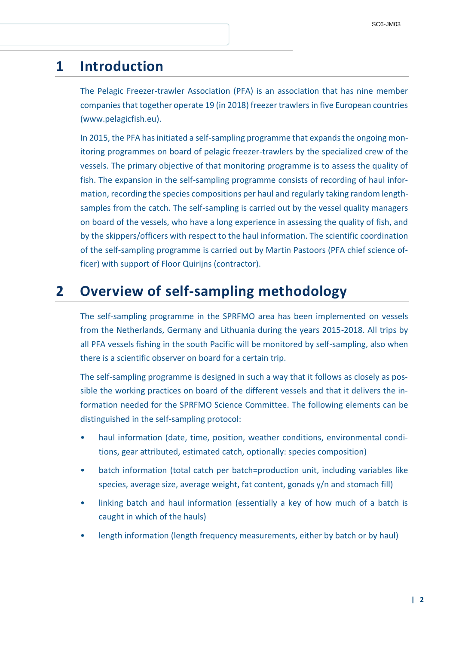## **1 Introduction**

The Pelagic Freezer-trawler Association (PFA) is an association that has nine member companies that together operate 19 (in 2018) freezer trawlers in five European countries (www.pelagicfish.eu).

In 2015, the PFA has initiated a self-sampling programme that expands the ongoing monitoring programmes on board of pelagic freezer-trawlers by the specialized crew of the vessels. The primary objective of that monitoring programme is to assess the quality of fish. The expansion in the self-sampling programme consists of recording of haul information, recording the species compositions per haul and regularly taking random lengthsamples from the catch. The self-sampling is carried out by the vessel quality managers on board of the vessels, who have a long experience in assessing the quality of fish, and by the skippers/officers with respect to the haul information. The scientific coordination of the self-sampling programme is carried out by Martin Pastoors (PFA chief science officer) with support of Floor Quirijns (contractor).

# **2 Overview of self-sampling methodology**

The self-sampling programme in the SPRFMO area has been implemented on vessels from the Netherlands, Germany and Lithuania during the years 2015-2018. All trips by all PFA vessels fishing in the south Pacific will be monitored by self-sampling, also when there is a scientific observer on board for a certain trip.

The self-sampling programme is designed in such a way that it follows as closely as possible the working practices on board of the different vessels and that it delivers the information needed for the SPRFMO Science Committee. The following elements can be distinguished in the self-sampling protocol:

- haul information (date, time, position, weather conditions, environmental conditions, gear attributed, estimated catch, optionally: species composition)
- batch information (total catch per batch=production unit, including variables like species, average size, average weight, fat content, gonads y/n and stomach fill)
- linking batch and haul information (essentially a key of how much of a batch is caught in which of the hauls)
- length information (length frequency measurements, either by batch or by haul)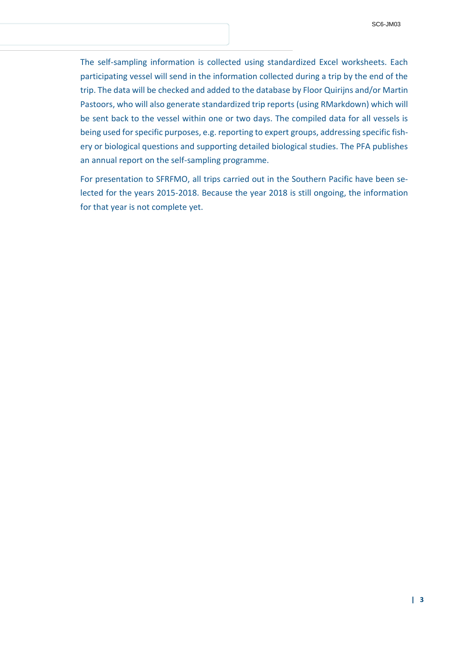The self-sampling information is collected using standardized Excel worksheets. Each participating vessel will send in the information collected during a trip by the end of the trip. The data will be checked and added to the database by Floor Quirijns and/or Martin Pastoors, who will also generate standardized trip reports (using RMarkdown) which will be sent back to the vessel within one or two days. The compiled data for all vessels is being used for specific purposes, e.g. reporting to expert groups, addressing specific fishery or biological questions and supporting detailed biological studies. The PFA publishes an annual report on the self-sampling programme.

For presentation to SFRFMO, all trips carried out in the Southern Pacific have been selected for the years 2015-2018. Because the year 2018 is still ongoing, the information for that year is not complete yet.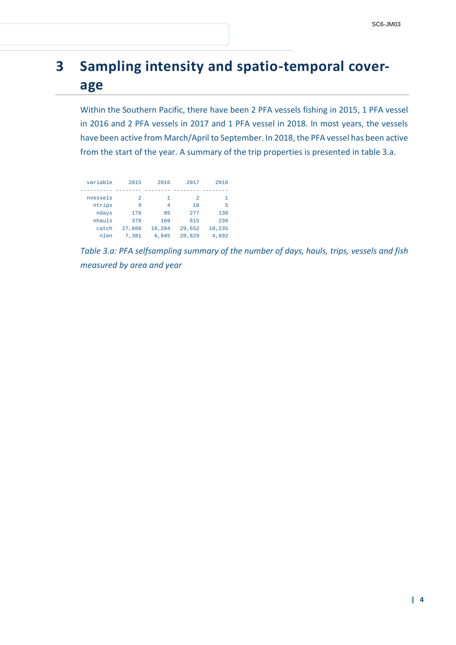# **3 Sampling intensity and spatio-temporal coverage**

Within the Southern Pacific, there have been 2 PFA vessels fishing in 2015, 1 PFA vessel in 2016 and 2 PFA vessels in 2017 and 1 PFA vessel in 2018. In most years, the vessels have been active from March/April to September. In 2018, the PFA vessel has been active from the start of the year. A summary of the trip properties is presented in table 3.a.

| variable | 2015           | 2016   | 2017           | 2018   |
|----------|----------------|--------|----------------|--------|
|          |                |        |                |        |
| nvessels | $\mathfrak{D}$ | 1      | $\mathfrak{D}$ |        |
| ntrips   | 9              | 4      | 10             | 5      |
| ndays    | 178            | 95     | 277            | 130    |
| nhauls   | 378            | 169    | 615            | 236    |
| catch    | 27.868         | 10,284 | 29.652         | 10,235 |
| nlen     | 7.381          | 6.845  | 20,829         | 4.692  |

*Table 3.a: PFA selfsampling summary of the number of days, hauls, trips, vessels and fish measured by area and year*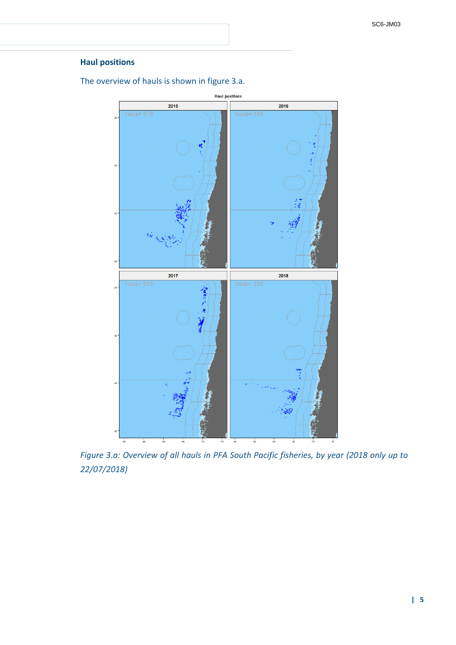#### **Haul positions**

The overview of hauls is shown in figure 3.a.



*Figure 3.a: Overview of all hauls in PFA South Pacific fisheries, by year (2018 only up to 22/07/2018)*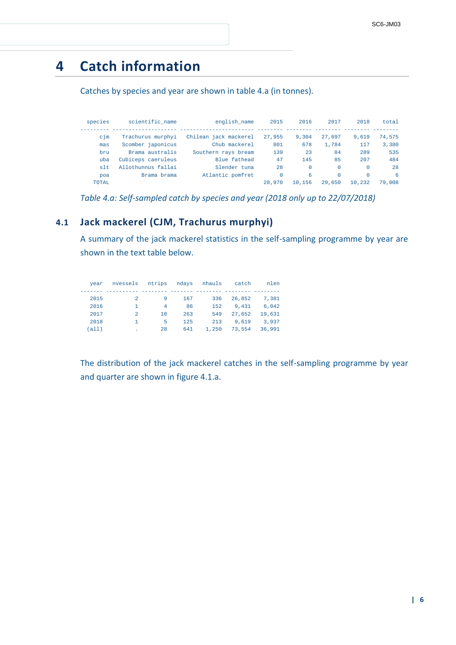# **4 Catch information**

Catches by species and year are shown in table 4.a (in tonnes).

| species  | scientific name    | english name          | 2015     | 2016     | 2017     | 2018     | total  |
|----------|--------------------|-----------------------|----------|----------|----------|----------|--------|
| $c1$ m   | Trachurus murphyi  | Chilean jack mackerel | 27,955   | 9,304    | 27,697   | 9.619    | 74,575 |
| mas      | Scomber japonicus  | Chub mackerel         | 801      | 678      | 1,784    | 117      | 3,380  |
| bru      | Brama australis    | Southern rays bream   | 139      | 23       | 84       | 289      | 535    |
| uba      | Cubiceps caeruleus | Blue fathead          | 47       | 145      | 85       | 207      | 484    |
| $s$ 1 t. | Allothunnus fallai | Slender tuna          | 2.8      | $\Omega$ | $\Omega$ | $\Omega$ | 2.8    |
| poa      | Brama brama        | Atlantic pomfret      | $\Omega$ | 6        | $\Omega$ | $\Omega$ | 6      |
| TOTAL.   |                    |                       | 28,970   | 10,156   | 29,650   | 10,232   | 79,008 |

*Table 4.a: Self-sampled catch by species and year (2018 only up to 22/07/2018)*

### **4.1 Jack mackerel (CJM, Trachurus murphyi)**

A summary of the jack mackerel statistics in the self-sampling programme by year are shown in the text table below.

| vear   | nvessels       | ntrips | ndavs | nhauls | catch  | nlen   |
|--------|----------------|--------|-------|--------|--------|--------|
|        |                |        |       |        |        |        |
| 2015   | 2              | 9      | 167   | 336    | 26,852 | 7.381  |
| 2016   | -1             | 4      | 86    | 152    | 9.431  | 6.042  |
| 2017   | 2              | 1 N    | 263   | 549    | 27,652 | 19,631 |
| 2018   | $\overline{1}$ | 5      | 125   | 213    | 9.619  | 3,937  |
| (alll) |                | 28     | 641   | 1,250  | 73,554 | 36,991 |

The distribution of the jack mackerel catches in the self-sampling programme by year and quarter are shown in figure 4.1.a.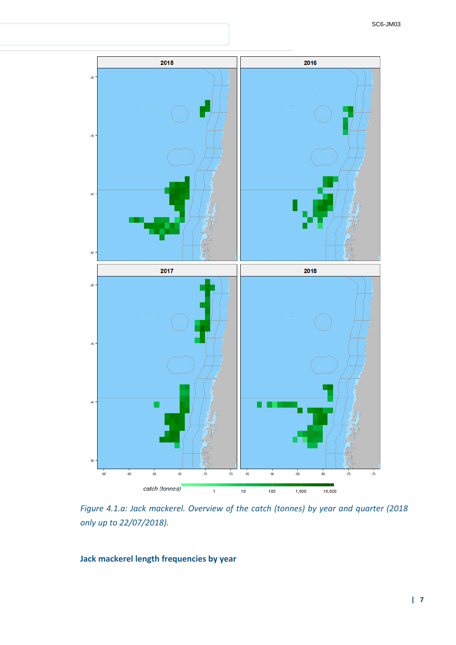

*Figure 4.1.a: Jack mackerel. Overview of the catch (tonnes) by year and quarter (2018 only up to 22/07/2018).*

### **Jack mackerel length frequencies by year**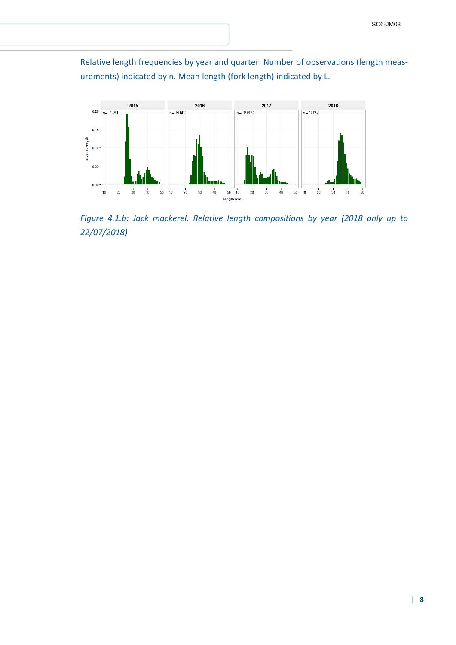Relative length frequencies by year and quarter. Number of observations (length measurements) indicated by n. Mean length (fork length) indicated by L.



*Figure 4.1.b: Jack mackerel. Relative length compositions by year (2018 only up to 22/07/2018)*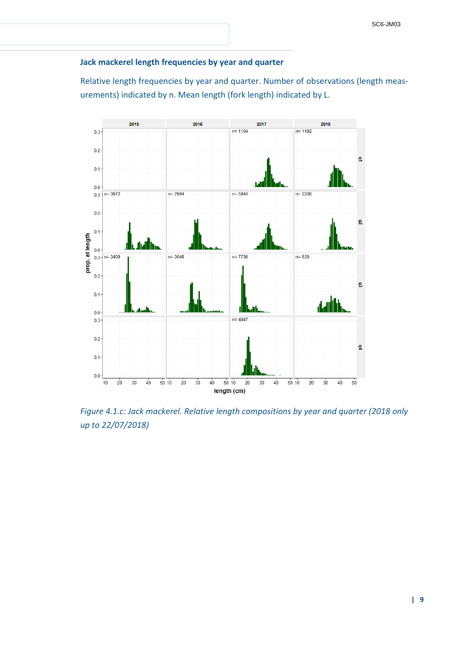#### **Jack mackerel length frequencies by year and quarter**

Relative length frequencies by year and quarter. Number of observations (length measurements) indicated by n. Mean length (fork length) indicated by L.



*Figure 4.1.c: Jack mackerel. Relative length compositions by year and quarter (2018 only up to 22/07/2018)*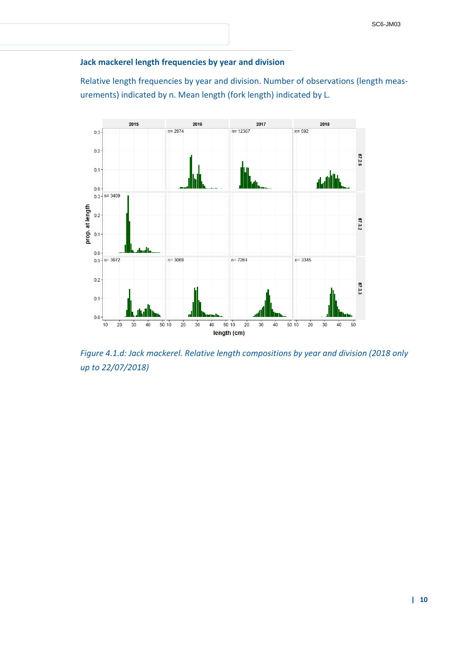#### **Jack mackerel length frequencies by year and division**

Relative length frequencies by year and division. Number of observations (length measurements) indicated by n. Mean length (fork length) indicated by L.



*Figure 4.1.d: Jack mackerel. Relative length compositions by year and division (2018 only up to 22/07/2018)*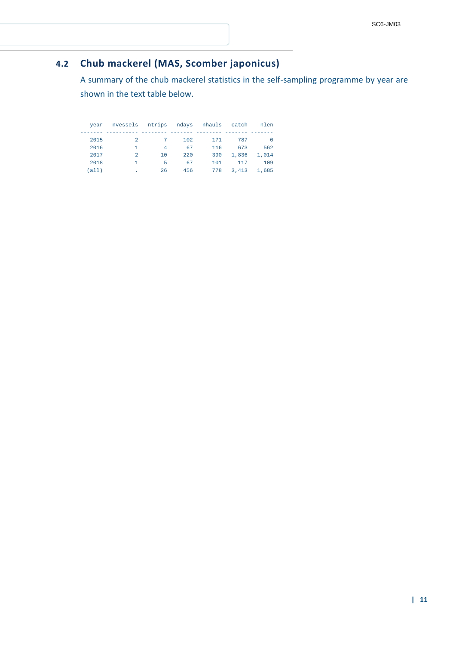## **4.2 Chub mackerel (MAS, Scomber japonicus)**

A summary of the chub mackerel statistics in the self-sampling programme by year are shown in the text table below.

| vear  | nvessels       |     |     | ntrips ndays nhauls | catch | nlen   |
|-------|----------------|-----|-----|---------------------|-------|--------|
|       |                |     |     |                     |       |        |
| 2015  | 2              | 7   | 102 | 171                 | 787   | $\cup$ |
| 2016  |                | 4   | 67  | 116                 | 673   | 562    |
| 2017  | $\mathfrak{D}$ | 1 O | 220 | 390                 | 1,836 | 1,014  |
| 2018  | 1.             | 5   | 67  | 101                 | 117   | 109    |
| (a11) |                | 26  | 456 | 778                 | 3,413 | 1,685  |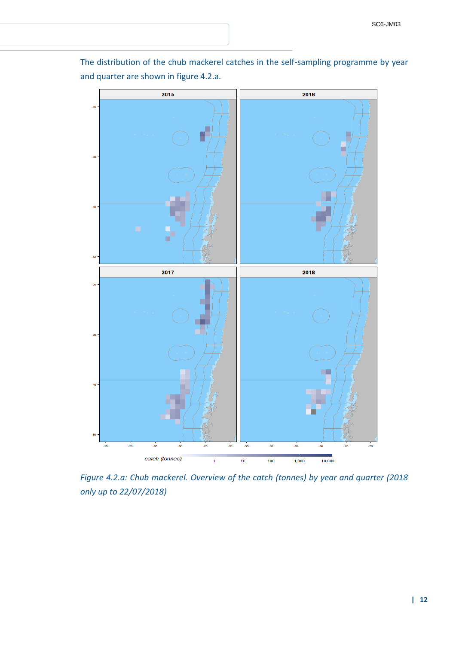

The distribution of the chub mackerel catches in the self-sampling programme by year and quarter are shown in figure 4.2.a.

*Figure 4.2.a: Chub mackerel. Overview of the catch (tonnes) by year and quarter (2018 only up to 22/07/2018)*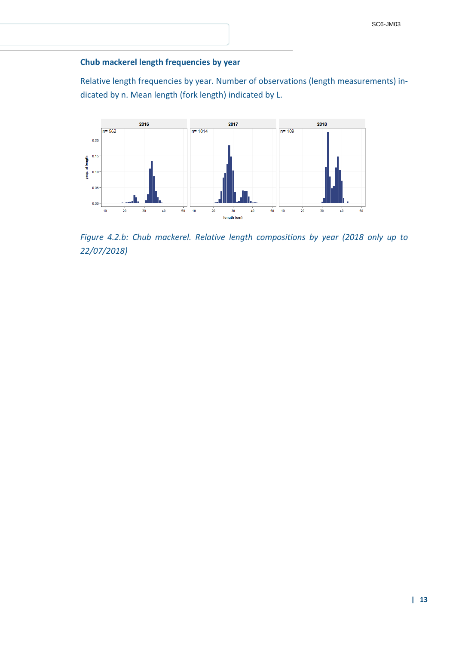#### **Chub mackerel length frequencies by year**

Relative length frequencies by year. Number of observations (length measurements) indicated by n. Mean length (fork length) indicated by L.



*Figure 4.2.b: Chub mackerel. Relative length compositions by year (2018 only up to 22/07/2018)*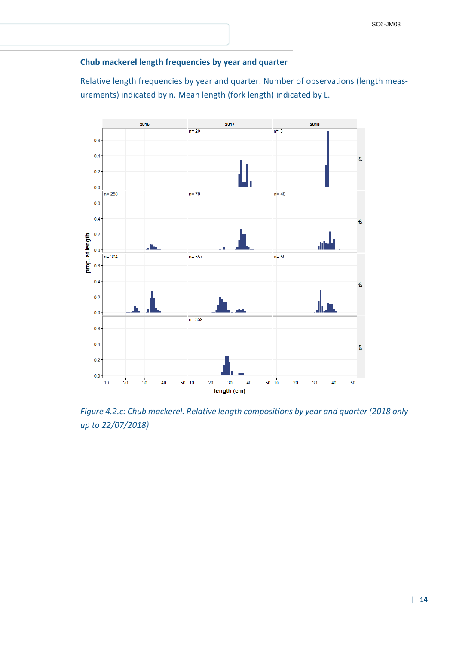### **Chub mackerel length frequencies by year and quarter**

Relative length frequencies by year and quarter. Number of observations (length measurements) indicated by n. Mean length (fork length) indicated by L.



*Figure 4.2.c: Chub mackerel. Relative length compositions by year and quarter (2018 only up to 22/07/2018)*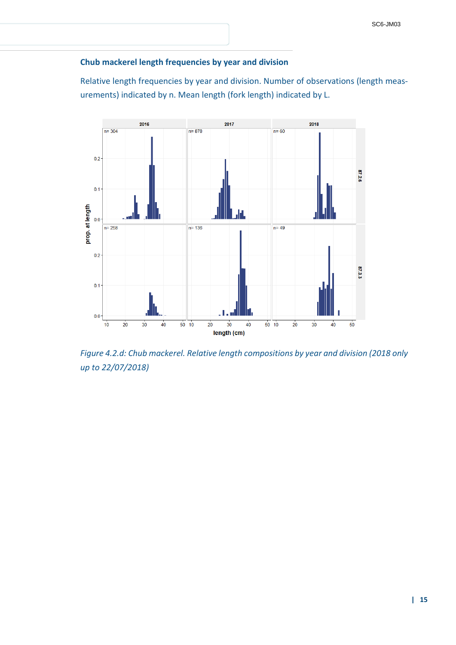#### **Chub mackerel length frequencies by year and division**

Relative length frequencies by year and division. Number of observations (length measurements) indicated by n. Mean length (fork length) indicated by L.



*Figure 4.2.d: Chub mackerel. Relative length compositions by year and division (2018 only up to 22/07/2018)*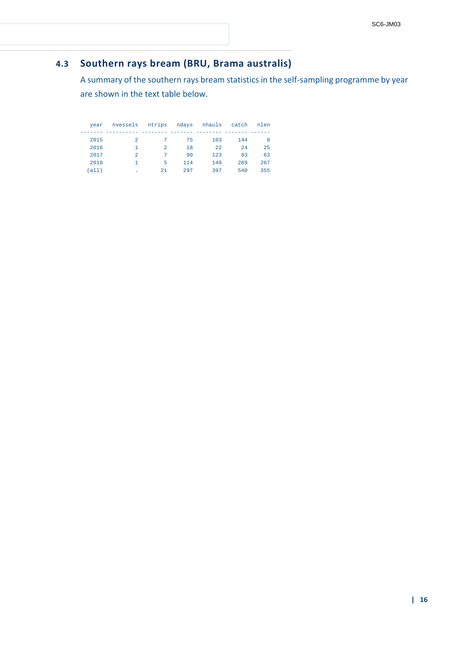## **4.3 Southern rays bream (BRU, Brama australis)**

A summary of the southern rays bream statistics in the self-sampling programme by year are shown in the text table below.

| vear | nvessels       | ntrips         | ndays | nhauls | catch | nlen |
|------|----------------|----------------|-------|--------|-------|------|
|      |                |                |       |        |       |      |
| 2015 | 2              |                | 75    | 103    | 144   |      |
| 2016 |                | $\mathfrak{D}$ | 18    | 2.2    | 2.4   | 25   |
| 2017 | $\mathfrak{D}$ | 7              | 90    | 123    | 83    | 63   |
| 2018 |                | 5              | 114   | 149    | 289   | 267  |
| all) | ٠              | 21             | 297   | 397    | 540   | 355  |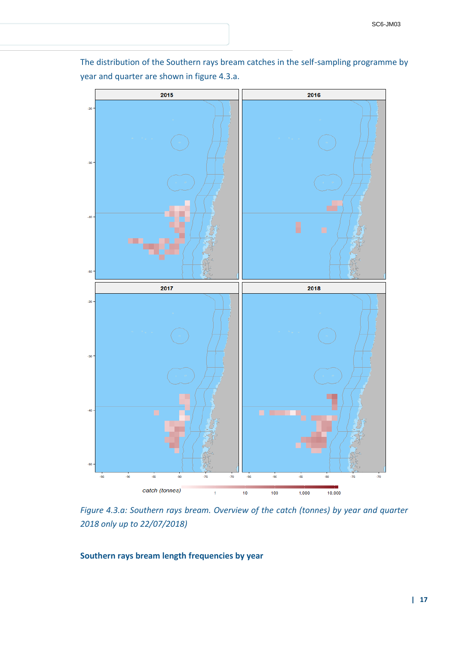

The distribution of the Southern rays bream catches in the self-sampling programme by year and quarter are shown in figure 4.3.a.

*Figure 4.3.a: Southern rays bream. Overview of the catch (tonnes) by year and quarter 2018 only up to 22/07/2018)*

#### **Southern rays bream length frequencies by year**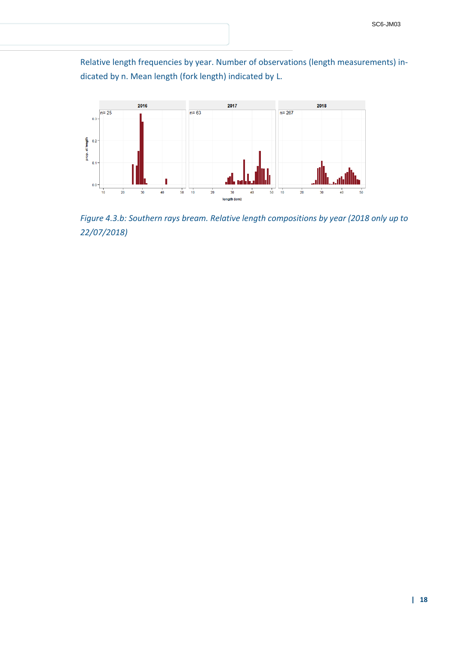Relative length frequencies by year. Number of observations (length measurements) indicated by n. Mean length (fork length) indicated by L.



*Figure 4.3.b: Southern rays bream. Relative length compositions by year (2018 only up to 22/07/2018)*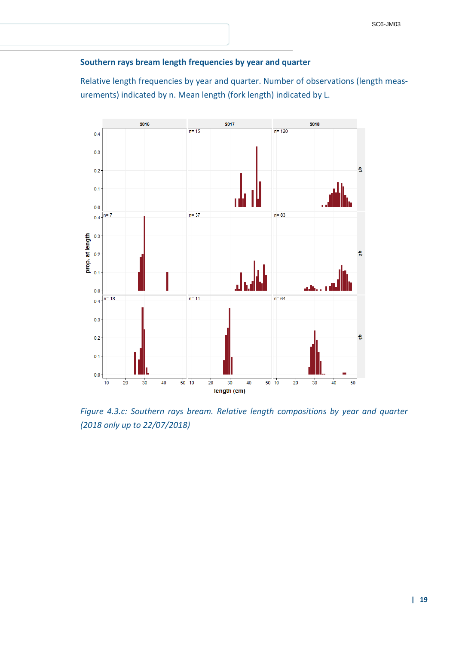### **Southern rays bream length frequencies by year and quarter**

Relative length frequencies by year and quarter. Number of observations (length measurements) indicated by n. Mean length (fork length) indicated by L.



*Figure 4.3.c: Southern rays bream. Relative length compositions by year and quarter (2018 only up to 22/07/2018)*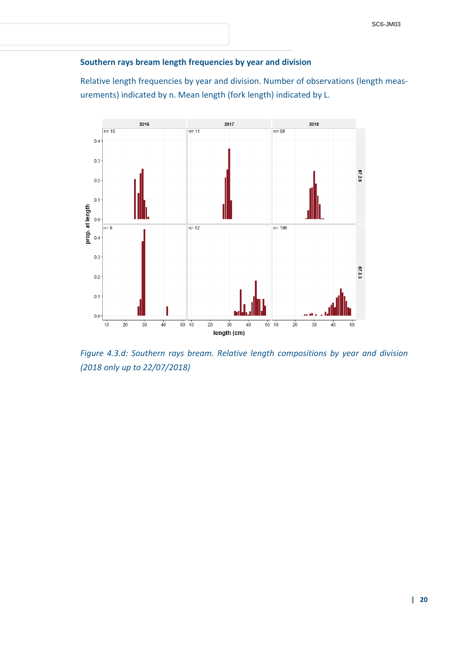#### **Southern rays bream length frequencies by year and division**

Relative length frequencies by year and division. Number of observations (length measurements) indicated by n. Mean length (fork length) indicated by L.



*Figure 4.3.d: Southern rays bream. Relative length compositions by year and division (2018 only up to 22/07/2018)*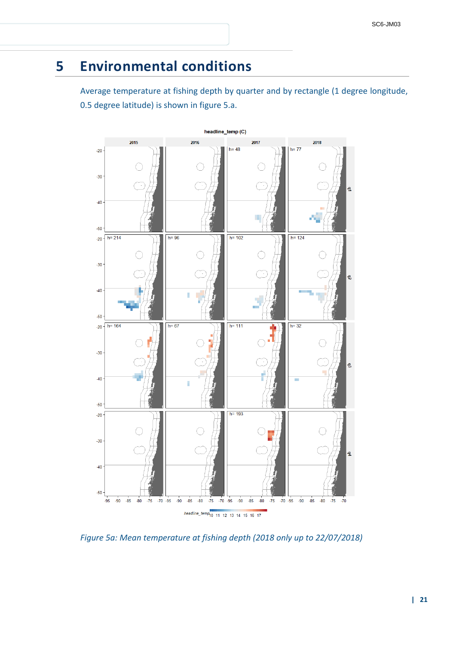# **5 Environmental conditions**

Average temperature at fishing depth by quarter and by rectangle (1 degree longitude, 0.5 degree latitude) is shown in figure 5.a.



*Figure 5a: Mean temperature at fishing depth (2018 only up to 22/07/2018)*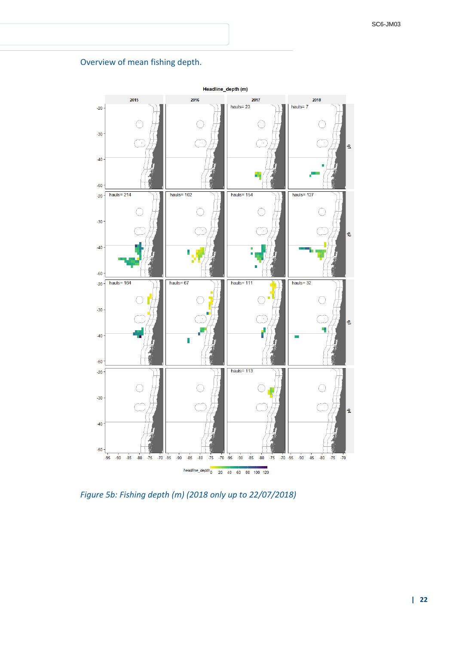#### Overview of mean fishing depth.



*Figure 5b: Fishing depth (m) (2018 only up to 22/07/2018)*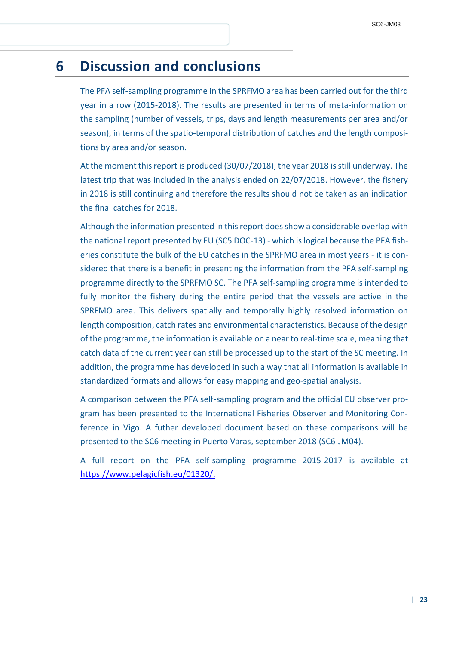# **6 Discussion and conclusions**

The PFA self-sampling programme in the SPRFMO area has been carried out for the third year in a row (2015-2018). The results are presented in terms of meta-information on the sampling (number of vessels, trips, days and length measurements per area and/or season), in terms of the spatio-temporal distribution of catches and the length compositions by area and/or season.

At the moment this report is produced (30/07/2018), the year 2018 is still underway. The latest trip that was included in the analysis ended on 22/07/2018. However, the fishery in 2018 is still continuing and therefore the results should not be taken as an indication the final catches for 2018.

Although the information presented in this report does show a considerable overlap with the national report presented by EU (SC5 DOC-13) - which is logical because the PFA fisheries constitute the bulk of the EU catches in the SPRFMO area in most years - it is considered that there is a benefit in presenting the information from the PFA self-sampling programme directly to the SPRFMO SC. The PFA self-sampling programme is intended to fully monitor the fishery during the entire period that the vessels are active in the SPRFMO area. This delivers spatially and temporally highly resolved information on length composition, catch rates and environmental characteristics. Because of the design of the programme, the information is available on a near to real-time scale, meaning that catch data of the current year can still be processed up to the start of the SC meeting. In addition, the programme has developed in such a way that all information is available in standardized formats and allows for easy mapping and geo-spatial analysis.

A comparison between the PFA self-sampling program and the official EU observer program has been presented to the International Fisheries Observer and Monitoring Conference in Vigo. A futher developed document based on these comparisons will be presented to the SC6 meeting in Puerto Varas, september 2018 (SC6-JM04).

A full report on the PFA self-sampling programme 2015-2017 is available at https://www.pelagicfish.eu/01320/.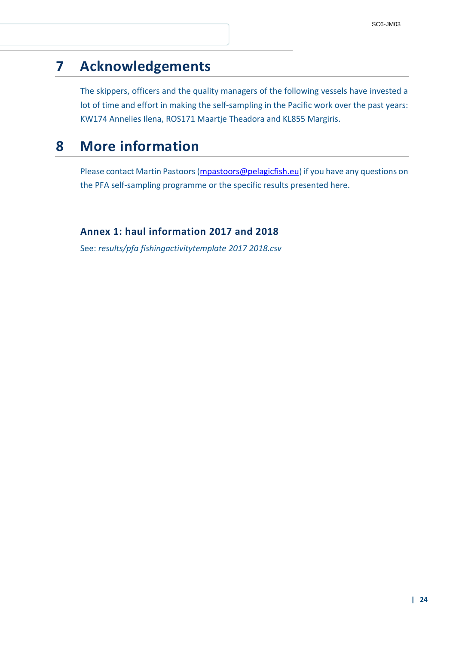# **7 Acknowledgements**

The skippers, officers and the quality managers of the following vessels have invested a lot of time and effort in making the self-sampling in the Pacific work over the past years: KW174 Annelies Ilena, ROS171 Maartje Theadora and KL855 Margiris.

# **8 More information**

Please contact Martin Pastoors [\(mpastoors@pelagicfish.eu\)](mailto:mpastoors@pelagicfish.eu) if you have any questions on the PFA self-sampling programme or the specific results presented here.

### **Annex 1: haul information 2017 and 2018**

See: *results/pfa fishingactivitytemplate 2017 2018.csv*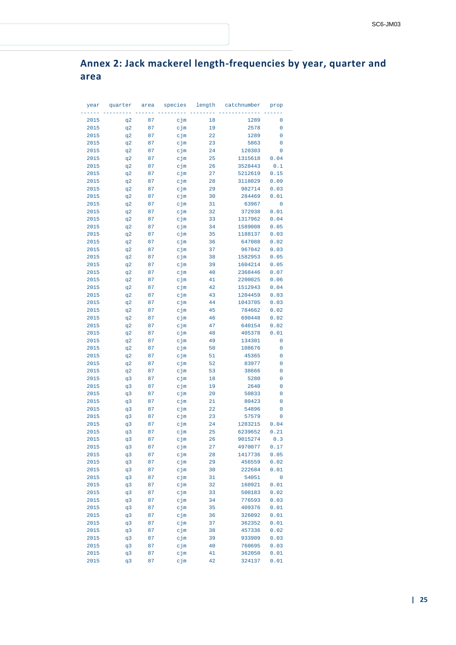## **Annex 2: Jack mackerel length-frequencies by year, quarter and area**

| year         | quarter  | area     | species    | length   | catchnumber     | prop        |
|--------------|----------|----------|------------|----------|-----------------|-------------|
|              |          |          |            |          |                 |             |
| 2015         | q2       | 87       | cjm        | 18       | 1289            | 0           |
| 2015         | q2       | 87       | cjm        | 19       | 2578            | 0           |
| 2015         | q2       | 87       | cjm        | 22       | 1289            | 0           |
| 2015         | q2       | 87       | cjm        | 23       | 5863            | 0           |
| 2015         | q2       | 87       | cjm        | 24       | 120303          | 0           |
| 2015         | q2       | 87       | cjm        | 25       | 1315618         | 0.04        |
| 2015         | q2       | 87       | cjm        | 26       | 3528443         | 0.1         |
| 2015         | q2       | 87       | cjm        | 27       | 5212619         | 0.15        |
| 2015         | q2       | 87       | cjm        | 28       | 3118029         | 0.09        |
| 2015         | q2       | 87       | cjm        | 29       | 982714          | 0.03        |
| 2015         | q2       | 87       | cjm        | 30       | 284469          | 0.01        |
| 2015         | q2       | 87       | cjm        | 31       | 63967           | 0           |
| 2015         | q2       | 87       | cjm        | 32       | 372938          | 0.01        |
| 2015         | q2       | 87       | cjm        | 33       | 1317962         | 0.04        |
| 2015         | q2       | 87       | cjm        | 34       | 1589008         | 0.05        |
| 2015         | q2       | 87       | cjm        | 35       | 1188137         | 0.03        |
| 2015         | q2       | 87       | cjm        | 36       | 647088          | 0.02        |
| 2015         | q2       | 87       | cjm        | 37       | 967042          | 0.03        |
| 2015         | q2       | 87       | cjm        | 38       | 1582953         | 0.05        |
| 2015         | q2       | 87       | cjm        | 39       | 1604214         | 0.05        |
| 2015         | q2       | 87       | cjm        | 40       | 2368446         | 0.07        |
| 2015         | q2       | 87       | cjm        | 41       | 2200025         | 0.06        |
| 2015         | q2       | 87       | cjm        | 42       | 1512943         | 0.04        |
| 2015         | q2       | 87       | cjm        | 43       | 1204459         | 0.03        |
| 2015         | q2       | 87       | cjm        | 44       | 1043705         | 0.03        |
| 2015         | q2       | 87       | cjm        | 45       | 784662          | 0.02        |
| 2015         | q2       | 87       | cjm        | 46       | 690448          | 0.02        |
| 2015         | q2       | 87       | cjm        | 47       | 640154          | 0.02        |
| 2015         | q2       | 87       | cjm        | 48       | 405378          | 0.01        |
| 2015         | q2       | 87       | cjm        | 49       | 134301          | 0           |
| 2015<br>2015 | q2       | 87<br>87 | cjm        | 50<br>51 | 108676<br>45365 | 0<br>0      |
| 2015         | q2<br>q2 | 87       | cjm<br>cjm | 52       | 83977           | 0           |
| 2015         | q2       | 87       | cjm        | 53       | 38666           | 0           |
| 2015         | q3       | 87       | cjm        | 18       | 5280            | $\mathbf 0$ |
| 2015         | q3       | 87       | cjm        | 19       | 2640            | 0           |
| 2015         | q3       | 87       | cjm        | 20       | 50833           | 0           |
| 2015         | q3       | 87       | cjm        | 21       | 80423           | 0           |
| 2015         | q3       | 87       | cjm        | 22       | 54896           | 0           |
| 2015         | q3       | 87       | cjm        | 23       | 57579           | 0           |
| 2015         | q3       | 87       | cjm        | 24       | 1283215         | 0.04        |
| 2015         | q3       | 87       | cjm        | 25       | 6239652         | 0.21        |
| 2015         | q3       | 87       | cjm        | 26       | 9015274         | 0.3         |
| 2015         | q3       | 87       | cjm        | 27       | 4970077         | $0\,.17$    |
| 2015         | q3       | 87       | cjm        | 28       | 1417736         | 0.05        |
| 2015         | q3       | 87       | cjm        | 29       | 456559          | 0.02        |
| 2015         | q3       | 87       | cjm        | 30       | 222684          | 0.01        |
| 2015         | q3       | 87       | cjm        | 31       | 54051           | 0           |
| 2015         | q3       | 87       | cjm        | 32       | 160921          | 0.01        |
| 2015         | q3       | 87       | cjm        | 33       | 500183          | 0.02        |
| 2015         | q3       | 87       | cjm        | 34       | 776593          | 0.03        |
| 2015         | q3       | 87       | cjm        | 35       | 409376          | 0.01        |
| 2015         | q3       | 87       | cjm        | 36       | 326092          | 0.01        |
| 2015         | q3       | 87       | cjm        | 37       | 362352          | 0.01        |
| 2015         | q3       | 87       | cjm        | 38       | 457336          | 0.02        |
| 2015         | q3       | 87       | cjm        | 39       | 933909          | 0.03        |
| 2015         | q3       | 87       | cjm        | 40       | 760695          | 0.03        |
| 2015         | q3       | 87       | cjm        | 41       | 362050          | 0.01        |
| 2015         | q3       | 87       | cjm        | 42       | 324137          | 0.01        |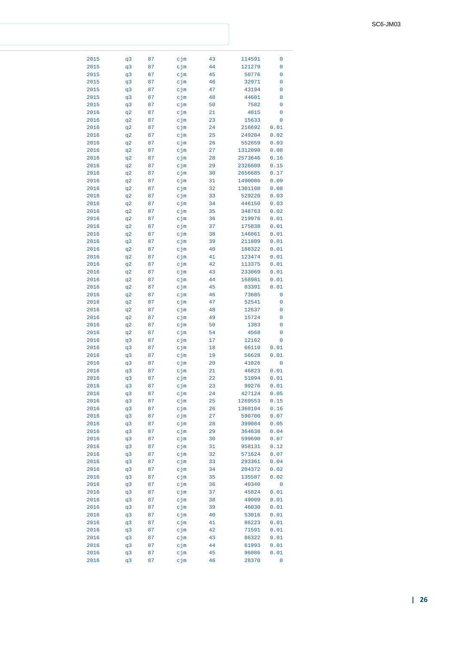| 2015<br>2015<br>2015 |                |    |        |    |         |      |
|----------------------|----------------|----|--------|----|---------|------|
|                      | q3             | 87 | cjm    | 43 | 114591  | 0    |
|                      |                | 87 | cjm    | 44 | 121279  | 0    |
|                      | q3             |    |        |    |         |      |
|                      | q3             | 87 | cjm    | 45 | 50776   | 0    |
| 2015                 | q3             | 87 | cjm    | 46 | 32971   | 0    |
|                      |                |    |        |    |         |      |
| 2015                 | q3             | 87 | cjm    | 47 | 43194   | 0    |
| 2015                 | q3             | 87 | cjm    | 48 | 44601   | 0    |
| 2015                 | q3             | 87 | cjm    | 50 | 7582    | 0    |
|                      |                |    |        |    |         |      |
| 2016                 | q2             | 87 | cjm    | 21 | 4815    | 0    |
| 2016                 | q2             | 87 | cjm    | 23 | 15633   | 0    |
| 2016                 | q2             | 87 | cjm    | 24 | 216692  | 0.01 |
|                      |                |    |        |    |         |      |
| 2016                 | q2             | 87 | cjm    | 25 | 249204  | 0.02 |
| 2016                 | q2             | 87 | cjm    | 26 | 552659  | 0.03 |
| 2016                 | q2             | 87 | cjm    | 27 | 1312090 | 0.08 |
|                      |                |    |        |    |         |      |
| 2016                 | q2             | 87 | cjm    | 28 | 2573646 | 0.16 |
| 2016                 | q2             | 87 | cjm    | 29 | 2326609 | 0.15 |
| 2016                 | q2             | 87 | cjm    | 30 | 2656685 | 0.17 |
|                      |                |    |        |    |         |      |
| 2016                 | q2             | 87 | cjm    | 31 | 1490086 | 0.09 |
| 2016                 | q2             | 87 | cjm    | 32 | 1301108 | 0.08 |
| 2016                 | q2             | 87 | cjm    | 33 | 529220  | 0.03 |
|                      |                |    |        |    |         |      |
| 2016                 | q2             | 87 | cjm    | 34 | 446150  | 0.03 |
| 2016                 | q2             | 87 | cjm    | 35 | 348763  | 0.02 |
|                      |                |    | cjm    |    | 219976  |      |
| 2016                 | q2             | 87 |        | 36 |         | 0.01 |
| 2016                 | q2             | 87 | cjm    | 37 | 175838  | 0.01 |
| 2016                 | q2             | 87 | cjm    | 38 | 146861  | 0.01 |
| 2016                 |                |    | cjm    |    | 211809  |      |
|                      | q2             | 87 |        | 39 |         | 0.01 |
| 2016                 | q2             | 87 | cjm    | 40 | 188322  | 0.01 |
| 2016                 | q2             | 87 | cjm    | 41 | 123474  | 0.01 |
|                      |                |    |        | 42 | 113375  |      |
| 2016                 | q2             | 87 | cjm    |    |         | 0.01 |
| 2016                 | q2             | 87 | cjm    | 43 | 233069  | 0.01 |
| 2016                 | q2             | 87 | cjm    | 44 | 168981  | 0.01 |
| 2016                 |                |    | cjm    | 45 | 83391   | 0.01 |
|                      | q2             | 87 |        |    |         |      |
| 2016                 | q2             | 87 | cjm    | 46 | 73685   | 0    |
| 2016                 | q2             | 87 | cjm    | 47 | 52541   | 0    |
| 2016                 | q2             | 87 |        | 48 | 12637   | 0    |
|                      |                |    | cjm    |    |         |      |
| 2016                 | q2             | 87 | cjm    | 49 | 15724   | 0    |
| 2016                 | q2             | 87 | cjm    | 50 | 1383    | 0    |
| 2016                 | q2             | 87 | cjm    | 54 | 4568    | 0    |
|                      |                |    |        |    |         |      |
| 2016                 | q3             | 87 | cjm    | 17 | 12162   | 0    |
| 2016                 | q3             | 87 | cjm    | 18 | 66110   | 0.01 |
| 2016                 | q3             | 87 | cjm    | 19 | 56628   | 0.01 |
|                      |                |    |        |    |         |      |
| 2016                 | q3             | 87 | cjm    | 20 | 41026   | 0    |
| 2016                 | q3             | 87 | cjm    | 21 | 46823   | 0.01 |
| 2016                 | q3             | 87 | cjm    | 22 |         |      |
|                      |                |    |        |    |         |      |
| 2016                 | q3             | 87 |        |    | 51094   | 0.01 |
|                      | q <sub>3</sub> |    | cjm    | 23 | 99276   | 0.01 |
| 2016                 |                | 87 | $c$ jm | 24 | 427124  | 0.05 |
|                      |                |    |        |    |         |      |
| 2016                 | q3             | 87 | cjm    | 25 | 1269553 | 0.15 |
| 2016                 | q3             | 87 | cjm    | 26 | 1360104 | 0.16 |
| 2016                 | q3             | 87 | cjm    | 27 | 590700  | 0.07 |
|                      |                |    |        |    |         |      |
| 2016                 | q3             | 87 | cjm    | 28 | 399084  | 0.05 |
| 2016                 | q3             | 87 | cjm    | 29 | 364638  | 0.04 |
| 2016                 | q3             | 87 | cjm    | 30 | 599690  | 0.07 |
|                      |                |    |        |    |         |      |
| 2016                 | q3             | 87 | cjm    | 31 | 958131  | 0.12 |
| 2016                 | q3             | 87 | cjm    | 32 | 571624  | 0.07 |
| 2016                 | q3             | 87 | cjm    | 33 | 293361  | 0.04 |
|                      |                |    |        |    |         |      |
| 2016                 | q3             | 87 | cjm    | 34 | 204372  | 0.02 |
| 2016                 | q3             | 87 | cjm    | 35 | 135587  | 0.02 |
| 2016                 | q3             | 87 | cjm    | 36 | 40340   | 0    |
|                      |                |    |        |    |         |      |
| 2016                 | q3             | 87 | cjm    | 37 | 45824   | 0.01 |
| 2016                 | q3             | 87 | cjm    | 38 | 49009   | 0.01 |
| 2016                 | q3             | 87 | cjm    | 39 | 46030   | 0.01 |
| 2016                 |                | 87 |        | 40 |         |      |
|                      | q3             |    | cjm    |    | 53016   | 0.01 |
| 2016                 | q3             | 87 | cjm    | 41 | 86223   | 0.01 |
| 2016                 | q3             | 87 | cjm    | 42 | 71591   | 0.01 |
| 2016                 | q3             | 87 | cjm    | 43 | 86322   |      |
|                      |                |    |        |    |         | 0.01 |
| 2016                 | q3             | 87 | cjm    | 44 | 61993   | 0.01 |
| 2016                 | q3             | 87 | cjm    | 45 | 96086   | 0.01 |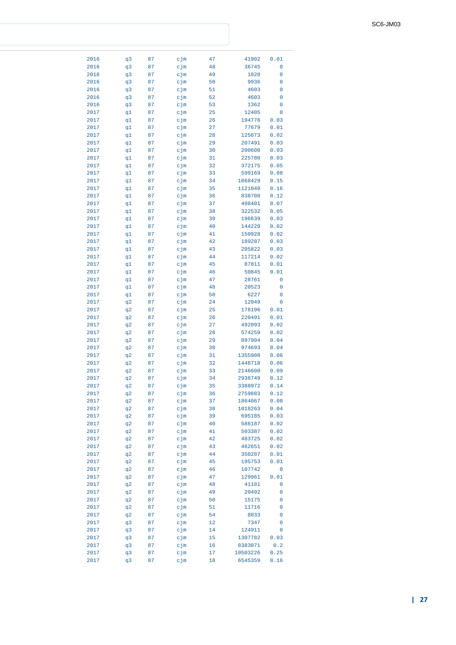| 2016 | q3 | 87 | cjm | 47 | 41902    | 0.01 |
|------|----|----|-----|----|----------|------|
| 2016 | q3 | 87 | cjm | 48 | 36745    | 0    |
| 2016 | q3 | 87 | cjm | 49 | 1020     | 0    |
| 2016 | q3 | 87 | cjm | 50 | 9936     | 0    |
| 2016 | q3 | 87 | cjm | 51 | 4603     | 0    |
| 2016 | q3 | 87 | cjm | 52 | 4603     | 0    |
| 2016 | q3 | 87 | cjm | 53 | 1362     | 0    |
| 2017 |    | 87 |     | 25 | 12405    | 0    |
|      | q1 |    | cjm |    |          |      |
| 2017 | q1 | 87 | cjm | 26 | 194776   | 0.03 |
| 2017 | q1 | 87 | cjm | 27 | 77679    | 0.01 |
| 2017 | q1 | 87 | cjm | 28 | 125673   | 0.02 |
| 2017 | q1 | 87 | cjm | 29 | 207491   | 0.03 |
| 2017 | q1 | 87 | cjm | 30 | 200600   | 0.03 |
| 2017 | q1 | 87 | cjm | 31 | 225780   | 0.03 |
| 2017 | q1 | 87 | cjm | 32 | 372175   | 0.05 |
| 2017 | q1 | 87 | cjm | 33 | 599169   | 0.08 |
| 2017 | q1 | 87 | cjm | 34 | 1068429  | 0.15 |
| 2017 | q1 | 87 | cjm | 35 | 1121049  | 0.16 |
| 2017 | q1 | 87 | cjm | 36 | 838708   | 0.12 |
| 2017 | q1 | 87 | cjm | 37 | 498401   | 0.07 |
| 2017 | q1 | 87 | cjm | 38 | 322532   | 0.05 |
| 2017 | q1 | 87 | cjm | 39 | 196639   | 0.03 |
| 2017 | q1 | 87 | cjm | 40 | 144229   | 0.02 |
| 2017 | q1 | 87 | cjm | 41 | 150928   | 0.02 |
| 2017 | q1 | 87 | cjm | 42 | 189287   | 0.03 |
| 2017 | q1 | 87 | cjm | 43 | 205822   | 0.03 |
| 2017 |    |    |     |    |          |      |
|      | q1 | 87 | cjm | 44 | 117214   | 0.02 |
| 2017 | q1 | 87 | cjm | 45 | 87811    | 0.01 |
| 2017 | q1 | 87 | cjm | 46 | 50845    | 0.01 |
| 2017 | q1 | 87 | cjm | 47 | 28761    | 0    |
| 2017 | q1 | 87 | cjm | 48 | 20523    | 0    |
| 2017 | q1 | 87 | cjm | 50 | 6227     | 0    |
| 2017 | q2 | 87 | cjm | 24 | 12049    | 0    |
| 2017 | q2 | 87 | cjm | 25 | 178196   | 0.01 |
| 2017 | q2 | 87 | cjm | 26 | 220491   | 0.01 |
| 2017 | q2 | 87 | cjm | 27 | 492093   | 0.02 |
| 2017 | q2 | 87 | cjm | 28 | 574259   | 0.02 |
| 2017 | q2 | 87 | cjm | 29 | 897904   | 0.04 |
| 2017 | q2 | 87 | cjm | 30 | 974693   | 0.04 |
| 2017 | q2 | 87 | cjm | 31 | 1355908  | 0.06 |
| 2017 | q2 | 87 | cjm | 32 | 1448718  | 0.06 |
| 2017 | q2 | 87 | cjm | 33 | 2146600  | 0.09 |
| 2017 | q2 | 87 | cjm | 34 | 2936749  | 0.12 |
| 2017 | q2 | 87 | cjm | 35 | 3388972  | 0.14 |
| 2017 | q2 | 87 | cjm | 36 | 2759883  | 0.12 |
| 2017 | q2 | 87 | cjm | 37 | 1864067  | 0.08 |
| 2017 | q2 | 87 | cjm | 38 | 1018263  | 0.04 |
| 2017 | q2 | 87 | cjm | 39 | 695185   | 0.03 |
|      |    |    |     |    | 586187   |      |
| 2017 | q2 | 87 | cjm | 40 |          | 0.02 |
| 2017 | q2 | 87 | cjm | 41 | 503387   | 0.02 |
| 2017 | q2 | 87 | cjm | 42 | 483725   | 0.02 |
| 2017 | q2 | 87 | cjm | 43 | 462651   | 0.02 |
| 2017 | q2 | 87 | cjm | 44 | 350287   | 0.01 |
| 2017 | q2 | 87 | cjm | 45 | 195753   | 0.01 |
| 2017 | q2 | 87 | cjm | 46 | 107742   | 0    |
| 2017 | q2 | 87 | cjm | 47 | 129961   | 0.01 |
| 2017 | q2 | 87 | cjm | 48 | 41181    | 0    |
| 2017 | q2 | 87 | cjm | 49 | 20492    | 0    |
| 2017 | q2 | 87 | cjm | 50 | 15175    | 0    |
| 2017 | q2 | 87 | cjm | 51 | 11716    | 0    |
| 2017 | q2 | 87 | cjm | 54 | 8033     | 0    |
| 2017 | q3 | 87 | cjm | 12 | 7347     | 0    |
| 2017 | q3 | 87 | cjm | 14 | 124911   | 0    |
| 2017 | q3 | 87 | cjm | 15 | 1307782  | 0.03 |
| 2017 | q3 | 87 | cjm | 16 | 8383071  | 0.2  |
| 2017 | q3 | 87 | cjm | 17 | 10503226 | 0.25 |
| 2017 | q3 | 87 |     | 18 | 6545359  | 0.16 |
|      |    |    | cjm |    |          |      |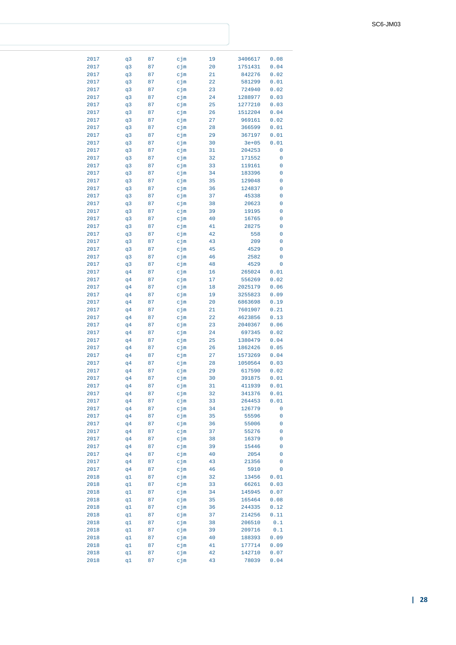| 2017 | q3             | 87 | cjm    | 19 | 3406617   | 0.08 |
|------|----------------|----|--------|----|-----------|------|
| 2017 | q3             | 87 | cjm    | 20 | 1751431   | 0.04 |
| 2017 | q3             | 87 | cjm    | 21 | 842276    | 0.02 |
| 2017 | q3             | 87 | cjm    | 22 | 581299    | 0.01 |
| 2017 | q3             | 87 | cjm    | 23 | 724940    | 0.02 |
|      |                |    |        |    |           |      |
| 2017 | q3             | 87 | cjm    | 24 | 1288977   | 0.03 |
| 2017 | q3             | 87 | cjm    | 25 | 1277210   | 0.03 |
| 2017 | q3             | 87 | cjm    | 26 | 1512204   | 0.04 |
| 2017 | q3             | 87 | cjm    | 27 | 969161    | 0.02 |
| 2017 | q3             | 87 | cjm    | 28 | 366599    | 0.01 |
|      |                |    |        |    |           |      |
| 2017 | q3             | 87 | cjm    | 29 | 367197    | 0.01 |
| 2017 | q3             | 87 | cjm    | 30 | $3e + 05$ | 0.01 |
| 2017 | q3             | 87 | cjm    | 31 | 204253    | 0    |
| 2017 | q3             | 87 | cjm    | 32 | 171552    | 0    |
| 2017 | q3             | 87 | cjm    | 33 | 119161    | 0    |
|      |                |    |        | 34 |           | 0    |
| 2017 | q3             | 87 | cjm    |    | 183396    |      |
| 2017 | q3             | 87 | cjm    | 35 | 129048    | 0    |
| 2017 | q3             | 87 | cjm    | 36 | 124837    | 0    |
| 2017 | q3             | 87 | cjm    | 37 | 45338     | 0    |
| 2017 | q3             | 87 | cjm    | 38 | 20623     | 0    |
| 2017 | q3             | 87 | cjm    | 39 | 19195     | 0    |
|      |                |    |        |    |           |      |
| 2017 | q3             | 87 | cjm    | 40 | 16765     | 0    |
| 2017 | q3             | 87 | cjm    | 41 | 28275     | 0    |
| 2017 | q3             | 87 | cjm    | 42 | 558       | 0    |
| 2017 | q3             | 87 | cjm    | 43 | 209       | 0    |
| 2017 | q3             | 87 | cjm    | 45 | 4529      | 0    |
|      |                |    |        |    |           |      |
| 2017 | q3             | 87 | cjm    | 46 | 2582      | 0    |
| 2017 | q3             | 87 | cjm    | 48 | 4529      | 0    |
| 2017 | q4             | 87 | cjm    | 16 | 265024    | 0.01 |
| 2017 | q4             | 87 | cjm    | 17 | 556269    | 0.02 |
| 2017 | q <sub>4</sub> | 87 | cjm    | 18 | 2025179   | 0.06 |
|      |                |    |        |    | 3255823   |      |
| 2017 | q4             | 87 | cjm    | 19 |           | 0.09 |
| 2017 | q4             | 87 | cjm    | 20 | 6863698   | 0.19 |
| 2017 | q4             | 87 | cjm    | 21 | 7601907   | 0.21 |
| 2017 | q4             | 87 | cjm    | 22 | 4623856   | 0.13 |
| 2017 | q4             | 87 | cjm    | 23 | 2040367   | 0.06 |
| 2017 | q4             | 87 | cjm    | 24 | 697345    | 0.02 |
|      |                |    |        |    |           |      |
| 2017 | q4             | 87 | cjm    | 25 | 1380479   | 0.04 |
| 2017 | q4             | 87 | cjm    | 26 | 1862426   | 0.05 |
| 2017 | q4             | 87 | cjm    | 27 | 1573269   | 0.04 |
| 2017 | q4             | 87 | cjm    | 28 | 1050564   | 0.03 |
| 2017 | q4             | 87 | cjm    | 29 | 617590    | 0.02 |
| 2017 | q4             | 87 | cjm    | 30 | 391875    | 0.01 |
|      |                |    |        |    |           |      |
| 2017 | q4             | 87 | cjm    | 31 | 411939    | 0.01 |
| 2017 | q <sub>4</sub> | 87 | $c$ jm | 32 | 341376    | 0.01 |
| 2017 | q4             | 87 | cjm    | 33 | 264453    | 0.01 |
| 2017 | q4             | 87 | cjm    | 34 | 126779    | 0    |
| 2017 | q4             | 87 | cjm    | 35 | 55596     | 0    |
| 2017 | q <sub>4</sub> | 87 | cjm    | 36 | 55006     | 0    |
|      |                |    |        |    |           |      |
| 2017 | q4             | 87 | cjm    | 37 | 55276     | 0    |
| 2017 | q4             | 87 | cjm    | 38 | 16379     | 0    |
| 2017 | q4             | 87 | cjm    | 39 | 15446     | 0    |
| 2017 | q4             | 87 | cjm    | 40 | 2054      | 0    |
| 2017 | q4             | 87 | cjm    | 43 | 21356     | 0    |
| 2017 |                | 87 |        | 46 | 5910      | 0    |
|      | q4             |    | cjm    |    |           |      |
| 2018 | q1             | 87 | $c$ jm | 32 | 13456     | 0.01 |
| 2018 | q1             | 87 | cjm    | 33 | 66261     | 0.03 |
| 2018 | q1             | 87 | cjm    | 34 | 145945    | 0.07 |
| 2018 | q1             | 87 | cjm    | 35 | 165464    | 0.08 |
| 2018 | q1             | 87 | cjm    | 36 | 244335    | 0.12 |
|      |                |    |        |    |           |      |
| 2018 | q1             | 87 | cjm    | 37 | 214256    | 0.11 |
| 2018 | q1             | 87 | cjm    | 38 | 206510    | 0.1  |
| 2018 | q1             | 87 | cjm    | 39 | 209716    | 0.1  |
| 2018 | q1             | 87 | cjm    | 40 | 188393    | 0.09 |
| 2018 | q1             | 87 | cjm    | 41 | 177714    | 0.09 |
| 2018 | q1             | 87 | cjm    | 42 | 142710    | 0.07 |
|      |                |    |        |    |           |      |
| 2018 | q1             | 87 | cjm    | 43 | 78039     | 0.04 |